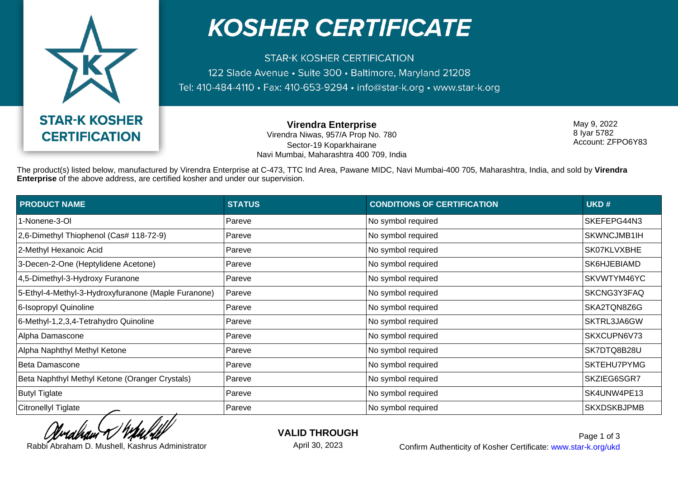

## **KOSHER CERTIFICATE**

**STAR-K KOSHER CERTIFICATION** 122 Slade Avenue · Suite 300 · Baltimore, Maryland 21208 Tel: 410-484-4110 • Fax: 410-653-9294 • info@star-k.org • www.star-k.org

> **Virendra Enterprise** Virendra Niwas, 957/A Prop No. 780 Sector-19 Koparkhairane Navi Mumbai, Maharashtra 400 709, India

May 9, 2022 8 Iyar 5782 Account: ZFPO6Y83

The product(s) listed below, manufactured by Virendra Enterprise at C-473, TTC Ind Area, Pawane MIDC, Navi Mumbai-400 705, Maharashtra, India, and sold by **Virendra Enterprise** of the above address, are certified kosher and under our supervision.

| <b>PRODUCT NAME</b>                                 | <b>STATUS</b> | <b>CONDITIONS OF CERTIFICATION</b> | UKD#               |
|-----------------------------------------------------|---------------|------------------------------------|--------------------|
| 1-Nonene-3-OI                                       | Pareve        | No symbol required                 | SKEFEPG44N3        |
| 2,6-Dimethyl Thiophenol (Cas# 118-72-9)             | Pareve        | No symbol required                 | SKWNCJMB1IH        |
| 2-Methyl Hexanoic Acid                              | Pareve        | No symbol required                 | SK07KLVXBHE        |
| 3-Decen-2-One (Heptylidene Acetone)                 | Pareve        | No symbol required                 | SK6HJEBIAMD        |
| 4,5-Dimethyl-3-Hydroxy Furanone                     | Pareve        | No symbol required                 | SKVWTYM46YC        |
| 5-Ethyl-4-Methyl-3-Hydroxyfuranone (Maple Furanone) | Pareve        | No symbol required                 | SKCNG3Y3FAQ        |
| 6-Isopropyl Quinoline                               | Pareve        | No symbol required                 | SKA2TQN8Z6G        |
| 6-Methyl-1,2,3,4-Tetrahydro Quinoline               | Pareve        | No symbol required                 | SKTRL3JA6GW        |
| Alpha Damascone                                     | Pareve        | No symbol required                 | SKXCUPN6V73        |
| Alpha Naphthyl Methyl Ketone                        | Pareve        | No symbol required                 | SK7DTQ8B28U        |
| Beta Damascone                                      | Pareve        | No symbol required                 | SKTEHU7PYMG        |
| Beta Naphthyl Methyl Ketone (Oranger Crystals)      | Pareve        | No symbol required                 | SKZIEG6SGR7        |
| <b>Butyl Tiglate</b>                                | Pareve        | No symbol required                 | SK4UNW4PE13        |
| Citronellyl Tiglate                                 | Pareve        | No symbol required                 | <b>SKXDSKBJPMB</b> |

**VALID THROUGH**

April 30, 2023

Rabbi Abraham D. Mushell, Kashrus Administrator **Confirm Authenticity of Kosher Certificate:** www.star-k.org/ukd Page 1 of 3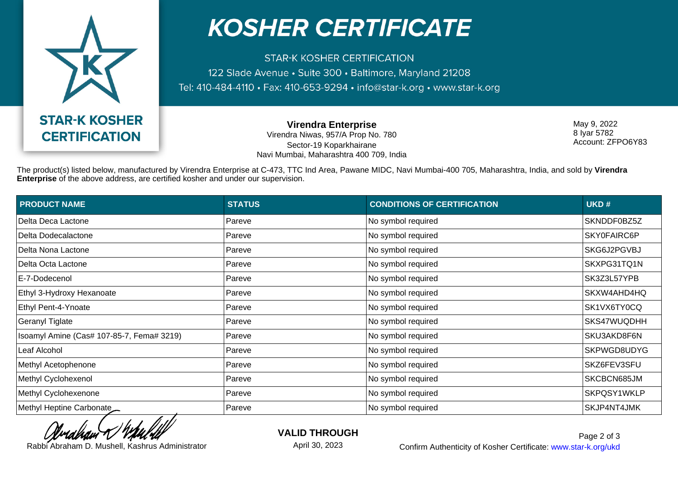

## **KOSHER CERTIFICATE**

**STAR-K KOSHER CERTIFICATION** 122 Slade Avenue · Suite 300 · Baltimore, Maryland 21208 Tel: 410-484-4110 • Fax: 410-653-9294 • info@star-k.org • www.star-k.org

> **Virendra Enterprise** Virendra Niwas, 957/A Prop No. 780 Sector-19 Koparkhairane Navi Mumbai, Maharashtra 400 709, India

May 9, 2022 8 Iyar 5782 Account: ZFPO6Y83

The product(s) listed below, manufactured by Virendra Enterprise at C-473, TTC Ind Area, Pawane MIDC, Navi Mumbai-400 705, Maharashtra, India, and sold by **Virendra Enterprise** of the above address, are certified kosher and under our supervision.

| <b>PRODUCT NAME</b>                       | <b>STATUS</b> | <b>CONDITIONS OF CERTIFICATION</b> | UKD#        |
|-------------------------------------------|---------------|------------------------------------|-------------|
| Delta Deca Lactone                        | Pareve        | No symbol required                 | SKNDDF0BZ5Z |
| Delta Dodecalactone                       | Pareve        | No symbol required                 | SKY0FAIRC6P |
| Delta Nona Lactone                        | Pareve        | No symbol required                 | SKG6J2PGVBJ |
| Delta Octa Lactone                        | Pareve        | No symbol required                 | SKXPG31TQ1N |
| E-7-Dodecenol                             | Pareve        | No symbol required                 | SK3Z3L57YPB |
| Ethyl 3-Hydroxy Hexanoate                 | Pareve        | No symbol required                 | SKXW4AHD4HQ |
| Ethyl Pent-4-Ynoate                       | Pareve        | No symbol required                 | SK1VX6TY0CQ |
| Geranyl Tiglate                           | Pareve        | No symbol required                 | SKS47WUQDHH |
| Isoamyl Amine (Cas# 107-85-7, Fema# 3219) | Pareve        | No symbol required                 | SKU3AKD8F6N |
| Leaf Alcohol                              | Pareve        | No symbol required                 | SKPWGD8UDYG |
| Methyl Acetophenone                       | Pareve        | No symbol required                 | SKZ6FEV3SFU |
| Methyl Cyclohexenol                       | Pareve        | No symbol required                 | SKCBCN685JM |
| Methyl Cyclohexenone                      | Pareve        | No symbol required                 | SKPQSY1WKLP |
| Methyl Heptine Carbonate                  | Pareve        | No symbol required                 | SKJP4NT4JMK |

**VALID THROUGH**

April 30, 2023

Rabbi Abraham D. Mushell, Kashrus Administrator **Confirm Authenticity of Kosher Certificate:** www.star-k.org/ukd Page 2 of 3